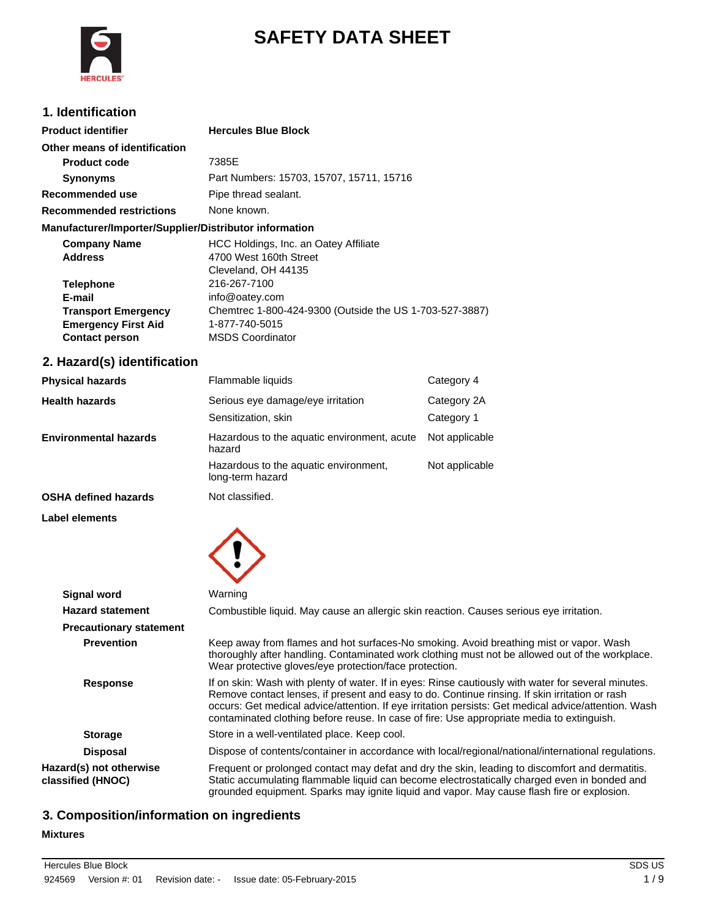

# **SAFETY DATA SHEET**

# **1. Identification**

| <b>Product identifier</b>                              | <b>Hercules Blue Block</b>                              |  |  |
|--------------------------------------------------------|---------------------------------------------------------|--|--|
| Other means of identification                          |                                                         |  |  |
| <b>Product code</b>                                    | 7385E                                                   |  |  |
| <b>Synonyms</b>                                        | Part Numbers: 15703, 15707, 15711, 15716                |  |  |
| Recommended use                                        | Pipe thread sealant.                                    |  |  |
| <b>Recommended restrictions</b>                        | None known.                                             |  |  |
| Manufacturer/Importer/Supplier/Distributor information |                                                         |  |  |
| <b>Company Name</b>                                    | HCC Holdings, Inc. an Oatey Affiliate                   |  |  |
| <b>Address</b>                                         | 4700 West 160th Street                                  |  |  |
|                                                        | Cleveland, OH 44135                                     |  |  |
| <b>Telephone</b>                                       | 216-267-7100                                            |  |  |
| E-mail                                                 | info@oatey.com                                          |  |  |
| <b>Transport Emergency</b>                             | Chemtrec 1-800-424-9300 (Outside the US 1-703-527-3887) |  |  |
| <b>Emergency First Aid</b>                             | 1-877-740-5015                                          |  |  |
| <b>Contact person</b>                                  | <b>MSDS Coordinator</b>                                 |  |  |

# **2. Hazard(s) identification**

| <b>Physical hazards</b>      | Flammable liquids                                         | Category 4                |
|------------------------------|-----------------------------------------------------------|---------------------------|
| <b>Health hazards</b>        | Serious eye damage/eye irritation<br>Sensitization, skin  | Category 2A<br>Category 1 |
| <b>Environmental hazards</b> | Hazardous to the aquatic environment, acute<br>hazard     | Not applicable            |
|                              | Hazardous to the aquatic environment,<br>long-term hazard | Not applicable            |
|                              |                                                           |                           |

**OSHA defined hazards** Not classified.

**Label elements**



| <b>Signal word</b>                           | Warning                                                                                                                                                                                                                                                                                                                                                                                                    |  |  |
|----------------------------------------------|------------------------------------------------------------------------------------------------------------------------------------------------------------------------------------------------------------------------------------------------------------------------------------------------------------------------------------------------------------------------------------------------------------|--|--|
| <b>Hazard statement</b>                      | Combustible liquid. May cause an allergic skin reaction. Causes serious eye irritation.                                                                                                                                                                                                                                                                                                                    |  |  |
| <b>Precautionary statement</b>               |                                                                                                                                                                                                                                                                                                                                                                                                            |  |  |
| <b>Prevention</b>                            | Keep away from flames and hot surfaces-No smoking. Avoid breathing mist or vapor. Wash<br>thoroughly after handling. Contaminated work clothing must not be allowed out of the workplace.<br>Wear protective gloves/eye protection/face protection.                                                                                                                                                        |  |  |
| <b>Response</b>                              | If on skin: Wash with plenty of water. If in eyes: Rinse cautiously with water for several minutes.<br>Remove contact lenses, if present and easy to do. Continue rinsing. If skin irritation or rash<br>occurs: Get medical advice/attention. If eye irritation persists: Get medical advice/attention. Wash<br>contaminated clothing before reuse. In case of fire: Use appropriate media to extinguish. |  |  |
| <b>Storage</b>                               | Store in a well-ventilated place. Keep cool.                                                                                                                                                                                                                                                                                                                                                               |  |  |
| <b>Disposal</b>                              | Dispose of contents/container in accordance with local/regional/national/international regulations.                                                                                                                                                                                                                                                                                                        |  |  |
| Hazard(s) not otherwise<br>classified (HNOC) | Frequent or prolonged contact may defat and dry the skin, leading to discomfort and dermatitis.<br>Static accumulating flammable liquid can become electrostatically charged even in bonded and<br>grounded equipment. Sparks may ignite liquid and vapor. May cause flash fire or explosion.                                                                                                              |  |  |

# **3. Composition/information on ingredients**

#### **Mixtures**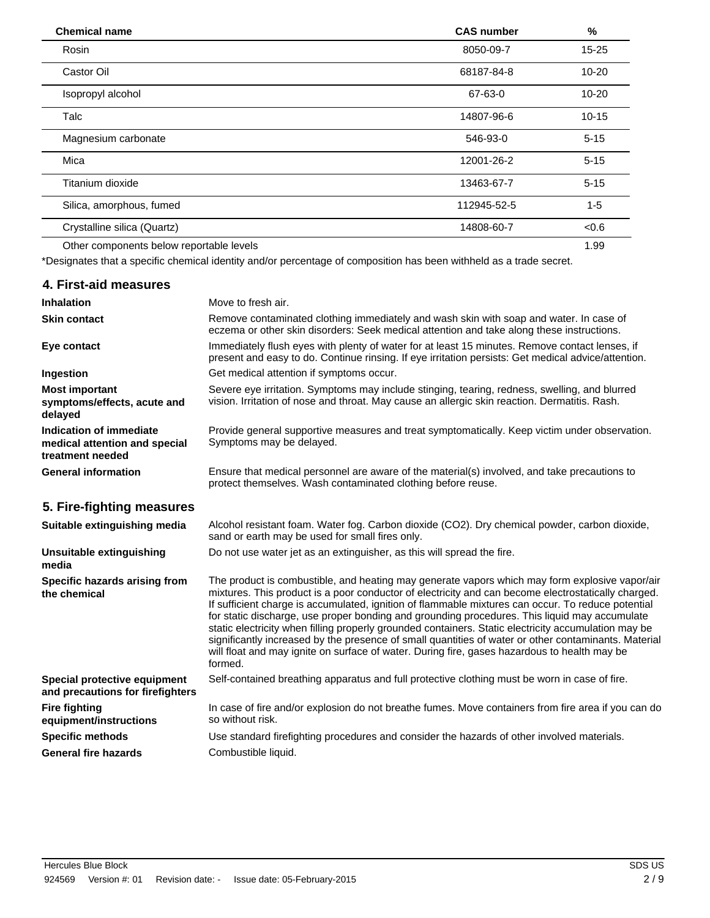| <b>Chemical name</b>                     | <b>CAS number</b> | %         |  |
|------------------------------------------|-------------------|-----------|--|
| Rosin                                    | 8050-09-7         | $15 - 25$ |  |
| Castor Oil                               | 68187-84-8        | $10 - 20$ |  |
| Isopropyl alcohol                        | 67-63-0           | $10 - 20$ |  |
| Talc                                     | 14807-96-6        | $10 - 15$ |  |
| Magnesium carbonate                      | 546-93-0          | $5 - 15$  |  |
| Mica                                     | 12001-26-2        | $5 - 15$  |  |
| Titanium dioxide                         | 13463-67-7        | $5 - 15$  |  |
| Silica, amorphous, fumed                 | 112945-52-5       | $1 - 5$   |  |
| Crystalline silica (Quartz)              | 14808-60-7        | <0.6      |  |
| Other components below reportable levels |                   | 1.99      |  |

\*Designates that a specific chemical identity and/or percentage of composition has been withheld as a trade secret.

# **4. First-aid measures**

| <b>Inhalation</b>                                                            | Move to fresh air.                                                                                                                                                                                    |
|------------------------------------------------------------------------------|-------------------------------------------------------------------------------------------------------------------------------------------------------------------------------------------------------|
| <b>Skin contact</b>                                                          | Remove contaminated clothing immediately and wash skin with soap and water. In case of<br>eczema or other skin disorders: Seek medical attention and take along these instructions.                   |
| Eye contact                                                                  | Immediately flush eyes with plenty of water for at least 15 minutes. Remove contact lenses, if<br>present and easy to do. Continue rinsing. If eye irritation persists: Get medical advice/attention. |
| Ingestion                                                                    | Get medical attention if symptoms occur.                                                                                                                                                              |
| <b>Most important</b><br>symptoms/effects, acute and<br>delayed              | Severe eye irritation. Symptoms may include stinging, tearing, redness, swelling, and blurred<br>vision. Irritation of nose and throat. May cause an allergic skin reaction. Dermatitis. Rash.        |
| Indication of immediate<br>medical attention and special<br>treatment needed | Provide general supportive measures and treat symptomatically. Keep victim under observation.<br>Symptoms may be delayed.                                                                             |
| <b>General information</b>                                                   | Ensure that medical personnel are aware of the material(s) involved, and take precautions to<br>protect themselves. Wash contaminated clothing before reuse.                                          |

# **5. Fire-fighting measures**

| Suitable extinguishing media                                     | Alcohol resistant foam. Water fog. Carbon dioxide (CO2). Dry chemical powder, carbon dioxide,<br>sand or earth may be used for small fires only.                                                                                                                                                                                                                                                                                                                                                                                                                                                                                                                                                                                        |
|------------------------------------------------------------------|-----------------------------------------------------------------------------------------------------------------------------------------------------------------------------------------------------------------------------------------------------------------------------------------------------------------------------------------------------------------------------------------------------------------------------------------------------------------------------------------------------------------------------------------------------------------------------------------------------------------------------------------------------------------------------------------------------------------------------------------|
| Unsuitable extinguishing<br>media                                | Do not use water jet as an extinguisher, as this will spread the fire.                                                                                                                                                                                                                                                                                                                                                                                                                                                                                                                                                                                                                                                                  |
| Specific hazards arising from<br>the chemical                    | The product is combustible, and heating may generate vapors which may form explosive vapor/air<br>mixtures. This product is a poor conductor of electricity and can become electrostatically charged.<br>If sufficient charge is accumulated, ignition of flammable mixtures can occur. To reduce potential<br>for static discharge, use proper bonding and grounding procedures. This liquid may accumulate<br>static electricity when filling properly grounded containers. Static electricity accumulation may be<br>significantly increased by the presence of small quantities of water or other contaminants. Material<br>will float and may ignite on surface of water. During fire, gases hazardous to health may be<br>formed. |
| Special protective equipment<br>and precautions for firefighters | Self-contained breathing apparatus and full protective clothing must be worn in case of fire.                                                                                                                                                                                                                                                                                                                                                                                                                                                                                                                                                                                                                                           |
| <b>Fire fighting</b><br>equipment/instructions                   | In case of fire and/or explosion do not breathe fumes. Move containers from fire area if you can do<br>so without risk.                                                                                                                                                                                                                                                                                                                                                                                                                                                                                                                                                                                                                 |
| <b>Specific methods</b>                                          | Use standard firefighting procedures and consider the hazards of other involved materials.                                                                                                                                                                                                                                                                                                                                                                                                                                                                                                                                                                                                                                              |
| <b>General fire hazards</b>                                      | Combustible liquid.                                                                                                                                                                                                                                                                                                                                                                                                                                                                                                                                                                                                                                                                                                                     |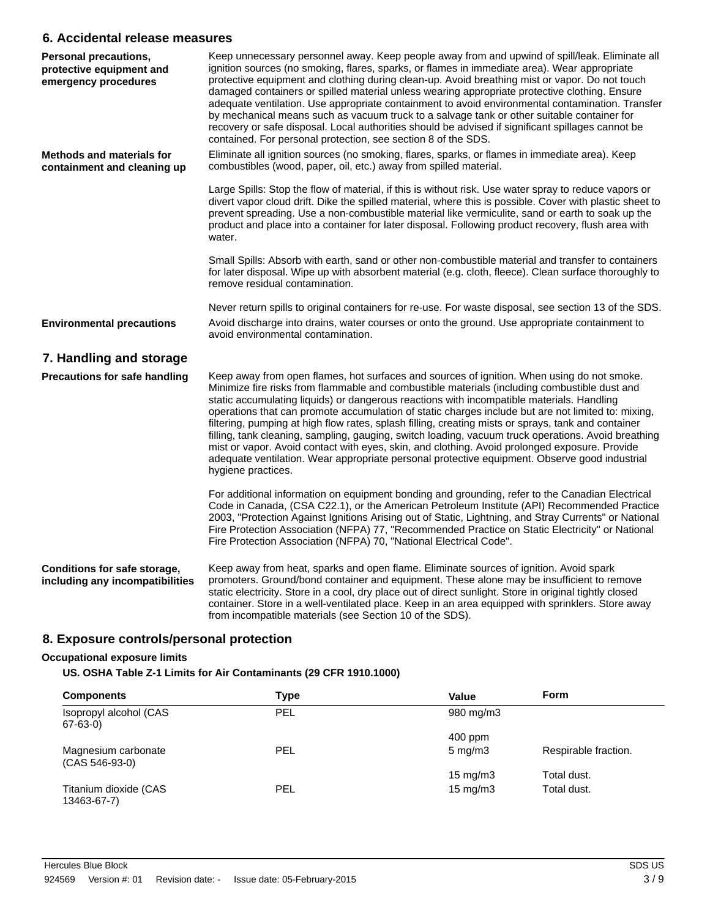### **6. Accidental release measures**

| <b>Personal precautions,</b><br>protective equipment and<br>emergency procedures | Keep unnecessary personnel away. Keep people away from and upwind of spill/leak. Eliminate all<br>ignition sources (no smoking, flares, sparks, or flames in immediate area). Wear appropriate<br>protective equipment and clothing during clean-up. Avoid breathing mist or vapor. Do not touch<br>damaged containers or spilled material unless wearing appropriate protective clothing. Ensure<br>adequate ventilation. Use appropriate containment to avoid environmental contamination. Transfer<br>by mechanical means such as vacuum truck to a salvage tank or other suitable container for<br>recovery or safe disposal. Local authorities should be advised if significant spillages cannot be<br>contained. For personal protection, see section 8 of the SDS.                                                           |
|----------------------------------------------------------------------------------|-------------------------------------------------------------------------------------------------------------------------------------------------------------------------------------------------------------------------------------------------------------------------------------------------------------------------------------------------------------------------------------------------------------------------------------------------------------------------------------------------------------------------------------------------------------------------------------------------------------------------------------------------------------------------------------------------------------------------------------------------------------------------------------------------------------------------------------|
| <b>Methods and materials for</b><br>containment and cleaning up                  | Eliminate all ignition sources (no smoking, flares, sparks, or flames in immediate area). Keep<br>combustibles (wood, paper, oil, etc.) away from spilled material.                                                                                                                                                                                                                                                                                                                                                                                                                                                                                                                                                                                                                                                                 |
|                                                                                  | Large Spills: Stop the flow of material, if this is without risk. Use water spray to reduce vapors or<br>divert vapor cloud drift. Dike the spilled material, where this is possible. Cover with plastic sheet to<br>prevent spreading. Use a non-combustible material like vermiculite, sand or earth to soak up the<br>product and place into a container for later disposal. Following product recovery, flush area with<br>water.                                                                                                                                                                                                                                                                                                                                                                                               |
|                                                                                  | Small Spills: Absorb with earth, sand or other non-combustible material and transfer to containers<br>for later disposal. Wipe up with absorbent material (e.g. cloth, fleece). Clean surface thoroughly to<br>remove residual contamination.                                                                                                                                                                                                                                                                                                                                                                                                                                                                                                                                                                                       |
|                                                                                  | Never return spills to original containers for re-use. For waste disposal, see section 13 of the SDS.                                                                                                                                                                                                                                                                                                                                                                                                                                                                                                                                                                                                                                                                                                                               |
| <b>Environmental precautions</b>                                                 | Avoid discharge into drains, water courses or onto the ground. Use appropriate containment to<br>avoid environmental contamination.                                                                                                                                                                                                                                                                                                                                                                                                                                                                                                                                                                                                                                                                                                 |
| 7. Handling and storage                                                          |                                                                                                                                                                                                                                                                                                                                                                                                                                                                                                                                                                                                                                                                                                                                                                                                                                     |
| <b>Precautions for safe handling</b>                                             | Keep away from open flames, hot surfaces and sources of ignition. When using do not smoke.<br>Minimize fire risks from flammable and combustible materials (including combustible dust and<br>static accumulating liquids) or dangerous reactions with incompatible materials. Handling<br>operations that can promote accumulation of static charges include but are not limited to: mixing,<br>filtering, pumping at high flow rates, splash filling, creating mists or sprays, tank and container<br>filling, tank cleaning, sampling, gauging, switch loading, vacuum truck operations. Avoid breathing<br>mist or vapor. Avoid contact with eyes, skin, and clothing. Avoid prolonged exposure. Provide<br>adequate ventilation. Wear appropriate personal protective equipment. Observe good industrial<br>hygiene practices. |
|                                                                                  | For additional information on equipment bonding and grounding, refer to the Canadian Electrical<br>Code in Canada, (CSA C22.1), or the American Petroleum Institute (API) Recommended Practice<br>2003, "Protection Against Ignitions Arising out of Static, Lightning, and Stray Currents" or National<br>Fire Protection Association (NFPA) 77, "Recommended Practice on Static Electricity" or National<br>Fire Protection Association (NFPA) 70, "National Electrical Code".                                                                                                                                                                                                                                                                                                                                                    |
| Conditions for safe storage,<br>including any incompatibilities                  | Keep away from heat, sparks and open flame. Eliminate sources of ignition. Avoid spark<br>promoters. Ground/bond container and equipment. These alone may be insufficient to remove<br>static electricity. Store in a cool, dry place out of direct sunlight. Store in original tightly closed<br>container. Store in a well-ventilated place. Keep in an area equipped with sprinklers. Store away<br>from incompatible materials (see Section 10 of the SDS).                                                                                                                                                                                                                                                                                                                                                                     |

# **8. Exposure controls/personal protection**

### **Occupational exposure limits**

### **US. OSHA Table Z-1 Limits for Air Contaminants (29 CFR 1910.1000)**

| <b>Components</b>                       | Type       | Value              | <b>Form</b>          |
|-----------------------------------------|------------|--------------------|----------------------|
| Isopropyl alcohol (CAS<br>$67 - 63 - 0$ | <b>PEL</b> | 980 mg/m3          |                      |
|                                         |            | $400$ ppm          |                      |
| Magnesium carbonate<br>$(CAS 546-93-0)$ | PEL        | $5 \text{ mg/m}$ 3 | Respirable fraction. |
|                                         |            | $15 \text{ mg/m}$  | Total dust.          |
| Titanium dioxide (CAS<br>13463-67-7)    | <b>PEL</b> | $15 \text{ mg/m}$  | Total dust.          |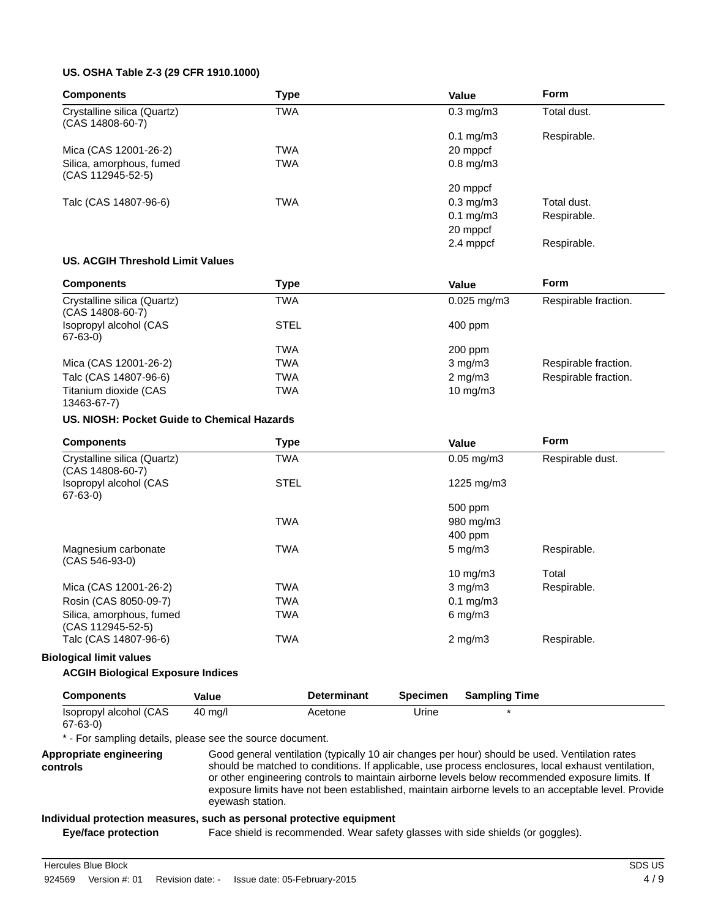#### **US. OSHA Table Z-3 (29 CFR 1910.1000)**

| <b>Components</b>                                 | <b>Type</b> | Value                  | Form        |
|---------------------------------------------------|-------------|------------------------|-------------|
| Crystalline silica (Quartz)<br>$(CAS 14808-60-7)$ | <b>TWA</b>  | $0.3 \text{ mg/m}$     | Total dust. |
|                                                   |             | $0.1 \,\mathrm{mg/m3}$ | Respirable. |
| Mica (CAS 12001-26-2)                             | <b>TWA</b>  | 20 mppcf               |             |
| Silica, amorphous, fumed<br>(CAS 112945-52-5)     | <b>TWA</b>  | $0.8$ mg/m $3$         |             |
|                                                   |             | 20 mppcf               |             |
| Talc (CAS 14807-96-6)                             | <b>TWA</b>  | $0.3 \text{ mg/m}$     | Total dust. |
|                                                   |             | $0.1 \text{ mg/m}$ 3   | Respirable. |
|                                                   |             | 20 mppcf               |             |
|                                                   |             | 2.4 mppcf              | Respirable. |

### **US. ACGIH Threshold Limit Values**

| <b>Components</b>                                 | Type        | Value            | <b>Form</b>          |
|---------------------------------------------------|-------------|------------------|----------------------|
| Crystalline silica (Quartz)<br>$(CAS 14808-60-7)$ | TWA         | $0.025$ mg/m $3$ | Respirable fraction. |
| Isopropyl alcohol (CAS<br>67-63-0)                | <b>STEL</b> | $400$ ppm        |                      |
|                                                   | TWA         | $200$ ppm        |                      |
| Mica (CAS 12001-26-2)                             | TWA         | $3 \text{ mg/m}$ | Respirable fraction. |
| Talc (CAS 14807-96-6)                             | TWA         | $2 \text{ mg/m}$ | Respirable fraction. |
| Titanium dioxide (CAS<br>13463-67-7)              | TWA         | 10 $mg/m3$       |                      |

#### **US. NIOSH: Pocket Guide to Chemical Hazards**

| <b>Components</b>                               |         | <b>Type</b> |                    |                 | Value                | <b>Form</b>      |
|-------------------------------------------------|---------|-------------|--------------------|-----------------|----------------------|------------------|
| Crystalline silica (Quartz)<br>(CAS 14808-60-7) |         | TWA         |                    |                 | $0.05$ mg/m $3$      | Respirable dust. |
| Isopropyl alcohol (CAS<br>67-63-0)              |         | <b>STEL</b> |                    |                 | 1225 mg/m3           |                  |
|                                                 |         |             |                    |                 | 500 ppm              |                  |
|                                                 |         | <b>TWA</b>  |                    |                 | 980 mg/m3            |                  |
|                                                 |         |             |                    |                 | 400 ppm              |                  |
| Magnesium carbonate<br>(CAS 546-93-0)           |         | <b>TWA</b>  |                    |                 | $5 \text{ mg/m}$ 3   | Respirable.      |
|                                                 |         |             |                    |                 | 10 mg/m $3$          | Total            |
| Mica (CAS 12001-26-2)                           |         | <b>TWA</b>  |                    |                 | $3 \text{ mg/m}$     | Respirable.      |
| Rosin (CAS 8050-09-7)                           |         | <b>TWA</b>  |                    |                 | $0.1$ mg/m $3$       |                  |
| Silica, amorphous, fumed<br>(CAS 112945-52-5)   |         | <b>TWA</b>  |                    |                 | $6 \text{ mg/m}$ 3   |                  |
| Talc (CAS 14807-96-6)                           |         | <b>TWA</b>  |                    |                 | $2 \text{ mg/m}$ 3   | Respirable.      |
| <b>Biological limit values</b>                  |         |             |                    |                 |                      |                  |
| <b>ACGIH Biological Exposure Indices</b>        |         |             |                    |                 |                      |                  |
| <b>Components</b>                               | Value   |             | <b>Determinant</b> | <b>Specimen</b> | <b>Sampling Time</b> |                  |
| Isopropyl alcohol (CAS<br>$\sim$ $\sim$ $\sim$  | 40 mg/l |             | Acetone            | Urine           | $\star$              |                  |

67-63-0)

\* - For sampling details, please see the source document.

**Appropriate engineering controls**

Good general ventilation (typically 10 air changes per hour) should be used. Ventilation rates should be matched to conditions. If applicable, use process enclosures, local exhaust ventilation, or other engineering controls to maintain airborne levels below recommended exposure limits. If exposure limits have not been established, maintain airborne levels to an acceptable level. Provide eyewash station.

#### **Individual protection measures, such as personal protective equipment**

**Eye/face protection** Face shield is recommended. Wear safety glasses with side shields (or goggles).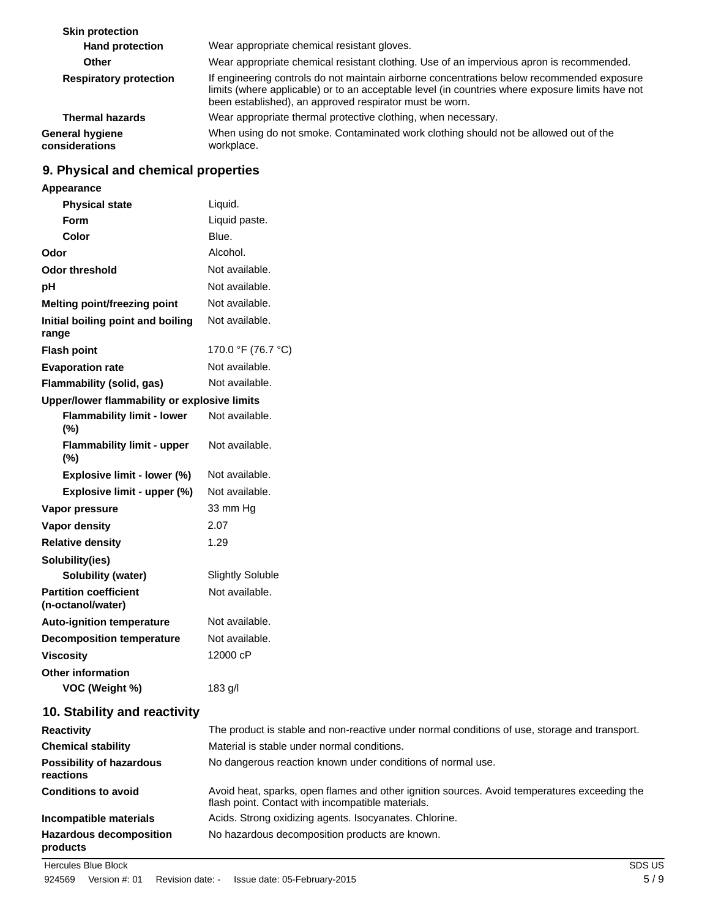| <b>Skin protection</b>                   |                                                                                                                                                                                                                                                           |
|------------------------------------------|-----------------------------------------------------------------------------------------------------------------------------------------------------------------------------------------------------------------------------------------------------------|
| <b>Hand protection</b>                   | Wear appropriate chemical resistant gloves.                                                                                                                                                                                                               |
| <b>Other</b>                             | Wear appropriate chemical resistant clothing. Use of an impervious apron is recommended.                                                                                                                                                                  |
| <b>Respiratory protection</b>            | If engineering controls do not maintain airborne concentrations below recommended exposure<br>limits (where applicable) or to an acceptable level (in countries where exposure limits have not<br>been established), an approved respirator must be worn. |
| <b>Thermal hazards</b>                   | Wear appropriate thermal protective clothing, when necessary.                                                                                                                                                                                             |
| <b>General hygiene</b><br>considerations | When using do not smoke. Contaminated work clothing should not be allowed out of the<br>workplace.                                                                                                                                                        |

# **9. Physical and chemical properties**

| <b>Appearance</b>                                 |                         |  |
|---------------------------------------------------|-------------------------|--|
| <b>Physical state</b>                             | Liquid.                 |  |
| Form                                              | Liquid paste.           |  |
| Color                                             | Blue.                   |  |
| Odor                                              | Alcohol.                |  |
| Odor threshold                                    | Not available.          |  |
| рH                                                | Not available.          |  |
| <b>Melting point/freezing point</b>               | Not available.          |  |
| Initial boiling point and boiling<br>range        | Not available.          |  |
| <b>Flash point</b>                                | 170.0 °F (76.7 °C)      |  |
| <b>Evaporation rate</b>                           | Not available.          |  |
| <b>Flammability (solid, gas)</b>                  | Not available.          |  |
| Upper/lower flammability or explosive limits      |                         |  |
| <b>Flammability limit - lower</b><br>$(\%)$       | Not available.          |  |
| <b>Flammability limit - upper</b><br>(%)          | Not available.          |  |
| Explosive limit - lower (%)                       | Not available.          |  |
| Explosive limit - upper (%)                       | Not available.          |  |
| Vapor pressure                                    | 33 mm Hg                |  |
| <b>Vapor density</b>                              | 2.07                    |  |
| <b>Relative density</b>                           | 1.29                    |  |
| Solubility(ies)                                   |                         |  |
| Solubility (water)                                | <b>Slightly Soluble</b> |  |
| <b>Partition coefficient</b><br>(n-octanol/water) | Not available.          |  |
| <b>Auto-ignition temperature</b>                  | Not available.          |  |
| <b>Decomposition temperature</b>                  | Not available.          |  |
| <b>Viscosity</b>                                  | 12000 cP                |  |
| <b>Other information</b>                          |                         |  |
| VOC (Weight %)                                    | 183 g/l                 |  |
|                                                   |                         |  |

# **10. Stability and reactivity**

| <b>Reactivity</b>                            | The product is stable and non-reactive under normal conditions of use, storage and transport.                                                     |
|----------------------------------------------|---------------------------------------------------------------------------------------------------------------------------------------------------|
| <b>Chemical stability</b>                    | Material is stable under normal conditions.                                                                                                       |
| <b>Possibility of hazardous</b><br>reactions | No dangerous reaction known under conditions of normal use.                                                                                       |
| <b>Conditions to avoid</b>                   | Avoid heat, sparks, open flames and other ignition sources. Avoid temperatures exceeding the<br>flash point. Contact with incompatible materials. |
| Incompatible materials                       | Acids. Strong oxidizing agents. Isocyanates. Chlorine.                                                                                            |
| <b>Hazardous decomposition</b><br>products   | No hazardous decomposition products are known.                                                                                                    |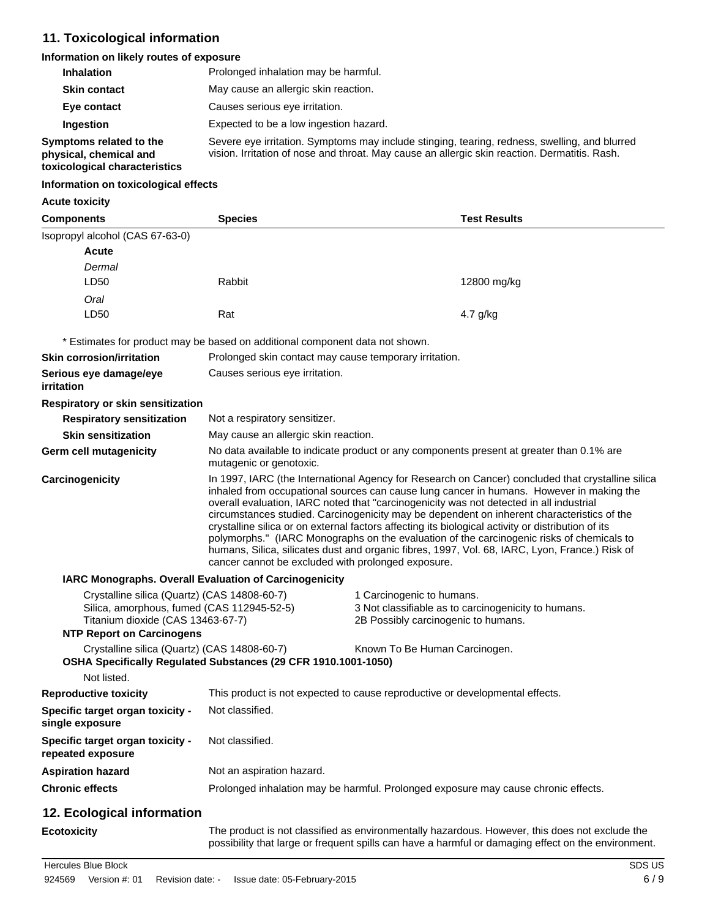# **11. Toxicological information**

### **Information on likely routes of exposure**

| <b>Inhalation</b>                                                                  | Prolonged inhalation may be harmful.                                                                                                                                                           |
|------------------------------------------------------------------------------------|------------------------------------------------------------------------------------------------------------------------------------------------------------------------------------------------|
| <b>Skin contact</b>                                                                | May cause an allergic skin reaction.                                                                                                                                                           |
| Eye contact                                                                        | Causes serious eye irritation.                                                                                                                                                                 |
| Ingestion                                                                          | Expected to be a low ingestion hazard.                                                                                                                                                         |
| Symptoms related to the<br>physical, chemical and<br>toxicological characteristics | Severe eye irritation. Symptoms may include stinging, tearing, redness, swelling, and blurred<br>vision. Irritation of nose and throat. May cause an allergic skin reaction. Dermatitis. Rash. |

### **Information on toxicological effects**

#### **Acute toxicity**

| <b>Components</b>                                                                                                                                                   | <b>Species</b>                                                                                                                                                                                                                                                                                                                                                                                                                                                                                                                                                                                                                                                                                                                                    | <b>Test Results</b>                                                                                                     |  |  |
|---------------------------------------------------------------------------------------------------------------------------------------------------------------------|---------------------------------------------------------------------------------------------------------------------------------------------------------------------------------------------------------------------------------------------------------------------------------------------------------------------------------------------------------------------------------------------------------------------------------------------------------------------------------------------------------------------------------------------------------------------------------------------------------------------------------------------------------------------------------------------------------------------------------------------------|-------------------------------------------------------------------------------------------------------------------------|--|--|
| Isopropyl alcohol (CAS 67-63-0)                                                                                                                                     |                                                                                                                                                                                                                                                                                                                                                                                                                                                                                                                                                                                                                                                                                                                                                   |                                                                                                                         |  |  |
| Acute                                                                                                                                                               |                                                                                                                                                                                                                                                                                                                                                                                                                                                                                                                                                                                                                                                                                                                                                   |                                                                                                                         |  |  |
| Dermal                                                                                                                                                              |                                                                                                                                                                                                                                                                                                                                                                                                                                                                                                                                                                                                                                                                                                                                                   |                                                                                                                         |  |  |
| LD50                                                                                                                                                                | Rabbit                                                                                                                                                                                                                                                                                                                                                                                                                                                                                                                                                                                                                                                                                                                                            | 12800 mg/kg                                                                                                             |  |  |
| Oral                                                                                                                                                                |                                                                                                                                                                                                                                                                                                                                                                                                                                                                                                                                                                                                                                                                                                                                                   |                                                                                                                         |  |  |
| LD50                                                                                                                                                                | Rat                                                                                                                                                                                                                                                                                                                                                                                                                                                                                                                                                                                                                                                                                                                                               | 4.7 g/kg                                                                                                                |  |  |
|                                                                                                                                                                     | * Estimates for product may be based on additional component data not shown.                                                                                                                                                                                                                                                                                                                                                                                                                                                                                                                                                                                                                                                                      |                                                                                                                         |  |  |
| <b>Skin corrosion/irritation</b>                                                                                                                                    | Prolonged skin contact may cause temporary irritation.                                                                                                                                                                                                                                                                                                                                                                                                                                                                                                                                                                                                                                                                                            |                                                                                                                         |  |  |
| Serious eye damage/eye<br>irritation                                                                                                                                | Causes serious eye irritation.                                                                                                                                                                                                                                                                                                                                                                                                                                                                                                                                                                                                                                                                                                                    |                                                                                                                         |  |  |
| Respiratory or skin sensitization                                                                                                                                   |                                                                                                                                                                                                                                                                                                                                                                                                                                                                                                                                                                                                                                                                                                                                                   |                                                                                                                         |  |  |
| <b>Respiratory sensitization</b>                                                                                                                                    | Not a respiratory sensitizer.                                                                                                                                                                                                                                                                                                                                                                                                                                                                                                                                                                                                                                                                                                                     |                                                                                                                         |  |  |
| <b>Skin sensitization</b>                                                                                                                                           | May cause an allergic skin reaction.                                                                                                                                                                                                                                                                                                                                                                                                                                                                                                                                                                                                                                                                                                              |                                                                                                                         |  |  |
| Germ cell mutagenicity                                                                                                                                              | No data available to indicate product or any components present at greater than 0.1% are<br>mutagenic or genotoxic.                                                                                                                                                                                                                                                                                                                                                                                                                                                                                                                                                                                                                               |                                                                                                                         |  |  |
| Carcinogenicity                                                                                                                                                     | In 1997, IARC (the International Agency for Research on Cancer) concluded that crystalline silica<br>inhaled from occupational sources can cause lung cancer in humans. However in making the<br>overall evaluation, IARC noted that "carcinogenicity was not detected in all industrial<br>circumstances studied. Carcinogenicity may be dependent on inherent characteristics of the<br>crystalline silica or on external factors affecting its biological activity or distribution of its<br>polymorphs." (IARC Monographs on the evaluation of the carcinogenic risks of chemicals to<br>humans, Silica, silicates dust and organic fibres, 1997, Vol. 68, IARC, Lyon, France.) Risk of<br>cancer cannot be excluded with prolonged exposure. |                                                                                                                         |  |  |
|                                                                                                                                                                     | IARC Monographs. Overall Evaluation of Carcinogenicity                                                                                                                                                                                                                                                                                                                                                                                                                                                                                                                                                                                                                                                                                            |                                                                                                                         |  |  |
| Crystalline silica (Quartz) (CAS 14808-60-7)<br>Silica, amorphous, fumed (CAS 112945-52-5)<br>Titanium dioxide (CAS 13463-67-7)<br><b>NTP Report on Carcinogens</b> |                                                                                                                                                                                                                                                                                                                                                                                                                                                                                                                                                                                                                                                                                                                                                   | 1 Carcinogenic to humans.<br>3 Not classifiable as to carcinogenicity to humans.<br>2B Possibly carcinogenic to humans. |  |  |
| Crystalline silica (Quartz) (CAS 14808-60-7)<br>Not listed.                                                                                                         | OSHA Specifically Regulated Substances (29 CFR 1910.1001-1050)                                                                                                                                                                                                                                                                                                                                                                                                                                                                                                                                                                                                                                                                                    | Known To Be Human Carcinogen.                                                                                           |  |  |
| <b>Reproductive toxicity</b>                                                                                                                                        |                                                                                                                                                                                                                                                                                                                                                                                                                                                                                                                                                                                                                                                                                                                                                   | This product is not expected to cause reproductive or developmental effects.                                            |  |  |
|                                                                                                                                                                     | Not classified.                                                                                                                                                                                                                                                                                                                                                                                                                                                                                                                                                                                                                                                                                                                                   |                                                                                                                         |  |  |
| Specific target organ toxicity -<br>single exposure                                                                                                                 |                                                                                                                                                                                                                                                                                                                                                                                                                                                                                                                                                                                                                                                                                                                                                   |                                                                                                                         |  |  |
| Specific target organ toxicity -<br>repeated exposure                                                                                                               | Not classified.                                                                                                                                                                                                                                                                                                                                                                                                                                                                                                                                                                                                                                                                                                                                   |                                                                                                                         |  |  |
| <b>Aspiration hazard</b>                                                                                                                                            | Not an aspiration hazard.                                                                                                                                                                                                                                                                                                                                                                                                                                                                                                                                                                                                                                                                                                                         |                                                                                                                         |  |  |
| <b>Chronic effects</b>                                                                                                                                              |                                                                                                                                                                                                                                                                                                                                                                                                                                                                                                                                                                                                                                                                                                                                                   | Prolonged inhalation may be harmful. Prolonged exposure may cause chronic effects.                                      |  |  |
| 12. Ecological information                                                                                                                                          |                                                                                                                                                                                                                                                                                                                                                                                                                                                                                                                                                                                                                                                                                                                                                   |                                                                                                                         |  |  |
| <b>Ecotoxicity</b>                                                                                                                                                  |                                                                                                                                                                                                                                                                                                                                                                                                                                                                                                                                                                                                                                                                                                                                                   | The product is not classified as environmentally hazardous. However, this does not exclude the                          |  |  |

possibility that large or frequent spills can have a harmful or damaging effect on the environment.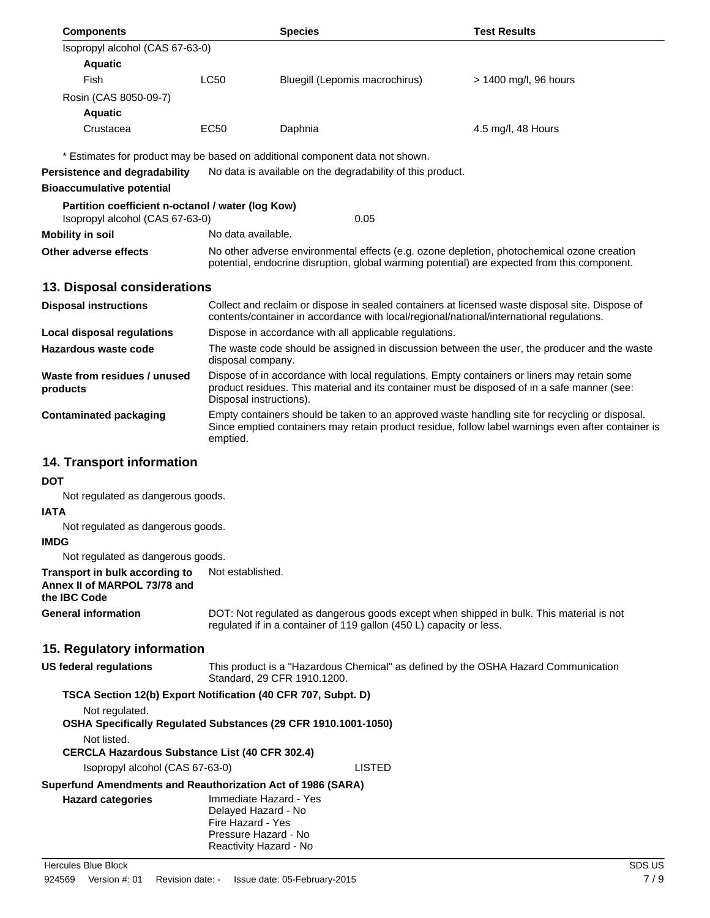| <b>Components</b>                                                                    |             | <b>Species</b>                                                                                                                                                                              | <b>Test Results</b>   |  |
|--------------------------------------------------------------------------------------|-------------|---------------------------------------------------------------------------------------------------------------------------------------------------------------------------------------------|-----------------------|--|
| Isopropyl alcohol (CAS 67-63-0)                                                      |             |                                                                                                                                                                                             |                       |  |
| <b>Aquatic</b>                                                                       |             |                                                                                                                                                                                             |                       |  |
| Fish                                                                                 | <b>LC50</b> | Bluegill (Lepomis macrochirus)                                                                                                                                                              | > 1400 mg/l, 96 hours |  |
| Rosin (CAS 8050-09-7)                                                                |             |                                                                                                                                                                                             |                       |  |
| <b>Aquatic</b>                                                                       |             |                                                                                                                                                                                             |                       |  |
| Crustacea                                                                            | EC50        | Daphnia                                                                                                                                                                                     | 4.5 mg/l, 48 Hours    |  |
| Persistence and degradability<br><b>Bioaccumulative potential</b>                    |             | * Estimates for product may be based on additional component data not shown.<br>No data is available on the degradability of this product.                                                  |                       |  |
| Partition coefficient n-octanol / water (log Kow)<br>Isopropyl alcohol (CAS 67-63-0) |             | 0.05                                                                                                                                                                                        |                       |  |
| Mobility in soil                                                                     |             | No data available.                                                                                                                                                                          |                       |  |
| Other adverse effects                                                                |             | No other adverse environmental effects (e.g. ozone depletion, photochemical ozone creation<br>potential, endocrine disruption, global warming potential) are expected from this component.  |                       |  |
| 13. Disposal considerations                                                          |             |                                                                                                                                                                                             |                       |  |
| <b>Disposal instructions</b>                                                         |             | Collect and reclaim or dispose in sealed containers at licensed waste disposal site. Dispose of<br>contents/container in accordance with local/regional/national/international regulations. |                       |  |

|                                          | contents/container in accordance with local/regional/national/international regulations.                                                                                                                               |  |  |
|------------------------------------------|------------------------------------------------------------------------------------------------------------------------------------------------------------------------------------------------------------------------|--|--|
| Local disposal regulations               | Dispose in accordance with all applicable regulations.                                                                                                                                                                 |  |  |
| Hazardous waste code                     | The waste code should be assigned in discussion between the user, the producer and the waste<br>disposal company.                                                                                                      |  |  |
| Waste from residues / unused<br>products | Dispose of in accordance with local regulations. Empty containers or liners may retain some<br>product residues. This material and its container must be disposed of in a safe manner (see:<br>Disposal instructions). |  |  |
| Contaminated packaging                   | Empty containers should be taken to an approved waste handling site for recycling or disposal.<br>Since emptied containers may retain product residue, follow label warnings even after container is<br>emptied.       |  |  |

# **14. Transport information**

### **DOT**

Not regulated as dangerous goods.

### **IATA**

Not regulated as dangerous goods.

#### **IMDG**

Not regulated as dangerous goods.

**Transport in bulk according to** Not established. **Annex II of MARPOL 73/78 and the IBC Code**

**General information** DOT: Not regulated as dangerous goods except when shipped in bulk. This material is not regulated if in a container of 119 gallon (450 L) capacity or less.

### **15. Regulatory information**

| US federal regulations          | This product is a "Hazardous Chemical" as defined by the OSHA Hazard Communication<br>Standard, 29 CFR 1910.1200.    |        |  |  |
|---------------------------------|----------------------------------------------------------------------------------------------------------------------|--------|--|--|
|                                 | TSCA Section 12(b) Export Notification (40 CFR 707, Subpt. D)                                                        |        |  |  |
| Not regulated.                  |                                                                                                                      |        |  |  |
|                                 | <b>OSHA Specifically Requiated Substances (29 CFR 1910.1001-1050)</b>                                                |        |  |  |
| Not listed.                     |                                                                                                                      |        |  |  |
|                                 | <b>CERCLA Hazardous Substance List (40 CFR 302.4)</b>                                                                |        |  |  |
| Isopropyl alcohol (CAS 67-63-0) |                                                                                                                      | LISTED |  |  |
|                                 | Superfund Amendments and Reauthorization Act of 1986 (SARA)                                                          |        |  |  |
| <b>Hazard categories</b>        | Immediate Hazard - Yes<br>Delayed Hazard - No<br>Fire Hazard - Yes<br>Pressure Hazard - No<br>Reactivity Hazard - No |        |  |  |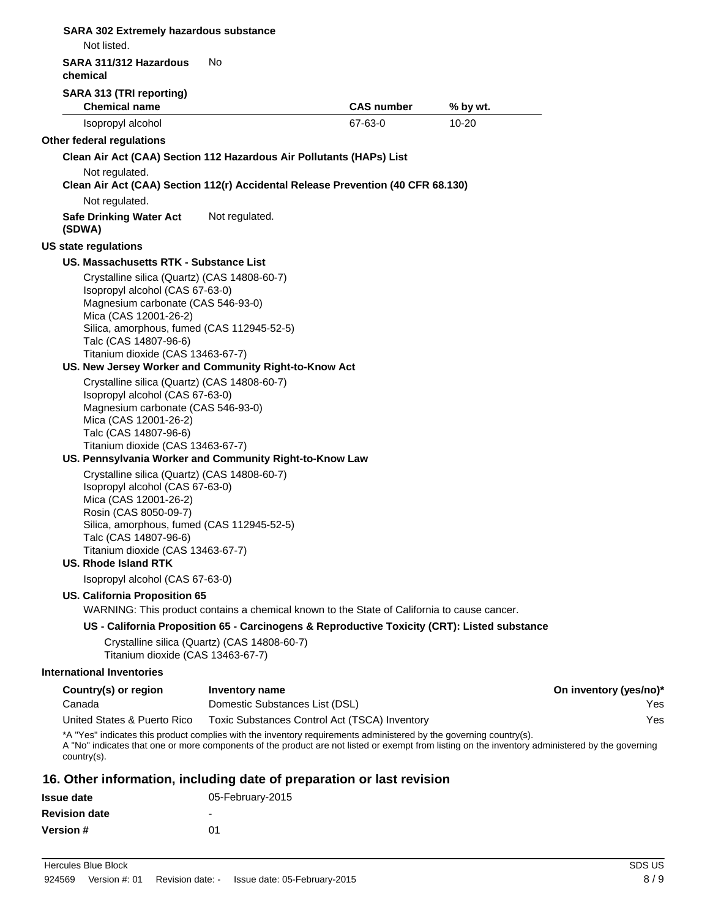| Not listed.                                                                                                                                                                                                                                                                                                                                                                                                                                  |                                              |                                                                                              |           |                        |
|----------------------------------------------------------------------------------------------------------------------------------------------------------------------------------------------------------------------------------------------------------------------------------------------------------------------------------------------------------------------------------------------------------------------------------------------|----------------------------------------------|----------------------------------------------------------------------------------------------|-----------|------------------------|
| SARA 311/312 Hazardous<br>chemical                                                                                                                                                                                                                                                                                                                                                                                                           | No                                           |                                                                                              |           |                        |
| SARA 313 (TRI reporting)                                                                                                                                                                                                                                                                                                                                                                                                                     |                                              |                                                                                              |           |                        |
| <b>Chemical name</b>                                                                                                                                                                                                                                                                                                                                                                                                                         |                                              | <b>CAS number</b>                                                                            | % by wt.  |                        |
| Isopropyl alcohol                                                                                                                                                                                                                                                                                                                                                                                                                            |                                              | 67-63-0                                                                                      | $10 - 20$ |                        |
| Other federal regulations                                                                                                                                                                                                                                                                                                                                                                                                                    |                                              |                                                                                              |           |                        |
| Clean Air Act (CAA) Section 112 Hazardous Air Pollutants (HAPs) List                                                                                                                                                                                                                                                                                                                                                                         |                                              |                                                                                              |           |                        |
| Not regulated.<br>Clean Air Act (CAA) Section 112(r) Accidental Release Prevention (40 CFR 68.130)                                                                                                                                                                                                                                                                                                                                           |                                              |                                                                                              |           |                        |
| Not regulated.                                                                                                                                                                                                                                                                                                                                                                                                                               |                                              |                                                                                              |           |                        |
| <b>Safe Drinking Water Act</b><br>(SDWA)                                                                                                                                                                                                                                                                                                                                                                                                     | Not regulated.                               |                                                                                              |           |                        |
| <b>US state regulations</b>                                                                                                                                                                                                                                                                                                                                                                                                                  |                                              |                                                                                              |           |                        |
| US. Massachusetts RTK - Substance List                                                                                                                                                                                                                                                                                                                                                                                                       |                                              |                                                                                              |           |                        |
| Crystalline silica (Quartz) (CAS 14808-60-7)<br>Isopropyl alcohol (CAS 67-63-0)<br>Magnesium carbonate (CAS 546-93-0)<br>Mica (CAS 12001-26-2)<br>Silica, amorphous, fumed (CAS 112945-52-5)<br>Talc (CAS 14807-96-6)<br>Titanium dioxide (CAS 13463-67-7)<br>US. New Jersey Worker and Community Right-to-Know Act<br>Crystalline silica (Quartz) (CAS 14808-60-7)<br>Isopropyl alcohol (CAS 67-63-0)<br>Magnesium carbonate (CAS 546-93-0) |                                              |                                                                                              |           |                        |
| Mica (CAS 12001-26-2)<br>Talc (CAS 14807-96-6)<br>Titanium dioxide (CAS 13463-67-7)<br>US. Pennsylvania Worker and Community Right-to-Know Law                                                                                                                                                                                                                                                                                               |                                              |                                                                                              |           |                        |
| Crystalline silica (Quartz) (CAS 14808-60-7)<br>Isopropyl alcohol (CAS 67-63-0)<br>Mica (CAS 12001-26-2)<br>Rosin (CAS 8050-09-7)<br>Silica, amorphous, fumed (CAS 112945-52-5)<br>Talc (CAS 14807-96-6)<br>Titanium dioxide (CAS 13463-67-7)<br>US. Rhode Island RTK                                                                                                                                                                        |                                              |                                                                                              |           |                        |
| Isopropyl alcohol (CAS 67-63-0)                                                                                                                                                                                                                                                                                                                                                                                                              |                                              |                                                                                              |           |                        |
| <b>US. California Proposition 65</b>                                                                                                                                                                                                                                                                                                                                                                                                         |                                              |                                                                                              |           |                        |
|                                                                                                                                                                                                                                                                                                                                                                                                                                              |                                              | WARNING: This product contains a chemical known to the State of California to cause cancer.  |           |                        |
| Titanium dioxide (CAS 13463-67-7)                                                                                                                                                                                                                                                                                                                                                                                                            | Crystalline silica (Quartz) (CAS 14808-60-7) | US - California Proposition 65 - Carcinogens & Reproductive Toxicity (CRT): Listed substance |           |                        |
| <b>International Inventories</b>                                                                                                                                                                                                                                                                                                                                                                                                             |                                              |                                                                                              |           |                        |
| Country(s) or region                                                                                                                                                                                                                                                                                                                                                                                                                         | Inventory name                               |                                                                                              |           | On inventory (yes/no)* |
| Canada                                                                                                                                                                                                                                                                                                                                                                                                                                       | Domestic Substances List (DSL)               |                                                                                              |           | Yes                    |
| United States & Puerto Rico                                                                                                                                                                                                                                                                                                                                                                                                                  |                                              | Toxic Substances Control Act (TSCA) Inventory                                                |           | Yes                    |
| *A "Yes" indicates this product complies with the inventory requirements administered by the governing country(s).<br>A "No" indicates that one or more components of the product are not listed or exempt from listing on the inventory administered by the governing<br>$country(s)$ .                                                                                                                                                     |                                              |                                                                                              |           |                        |
| 16. Other information, including date of preparation or last revision                                                                                                                                                                                                                                                                                                                                                                        |                                              |                                                                                              |           |                        |
| <b>Issue date</b>                                                                                                                                                                                                                                                                                                                                                                                                                            | 05-February-2015                             |                                                                                              |           |                        |
| <b>Revision date</b>                                                                                                                                                                                                                                                                                                                                                                                                                         |                                              |                                                                                              |           |                        |

Hercules Blue Block SDS US

**Version #** 01

**SARA 302 Extremely hazardous substance**